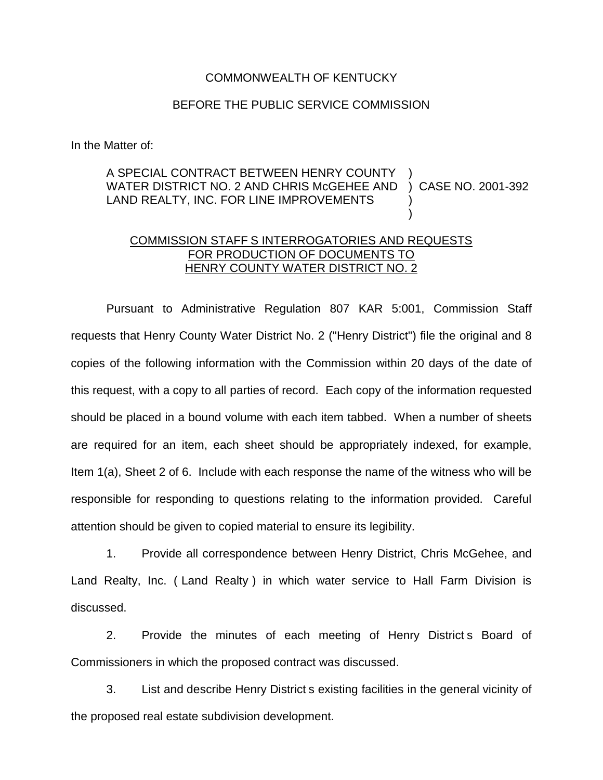## COMMONWEALTH OF KENTUCKY

## BEFORE THE PUBLIC SERVICE COMMISSION

In the Matter of:

## A SPECIAL CONTRACT BETWEEN HENRY COUNTY WATER DISTRICT NO. 2 AND CHRIS McGEHEE AND LAND REALTY, INC. FOR LINE IMPROVEMENTS ) ) CASE NO. 2001-392 ) )

## COMMISSION STAFF S INTERROGATORIES AND REQUESTS FOR PRODUCTION OF DOCUMENTS TO HENRY COUNTY WATER DISTRICT NO. 2

Pursuant to Administrative Regulation 807 KAR 5:001, Commission Staff requests that Henry County Water District No. 2 ("Henry District") file the original and 8 copies of the following information with the Commission within 20 days of the date of this request, with a copy to all parties of record. Each copy of the information requested should be placed in a bound volume with each item tabbed. When a number of sheets are required for an item, each sheet should be appropriately indexed, for example, Item 1(a), Sheet 2 of 6. Include with each response the name of the witness who will be responsible for responding to questions relating to the information provided. Careful attention should be given to copied material to ensure its legibility.

1. Provide all correspondence between Henry District, Chris McGehee, and Land Realty, Inc. ( Land Realty ) in which water service to Hall Farm Division is discussed.

2. Provide the minutes of each meeting of Henry District s Board of Commissioners in which the proposed contract was discussed.

3. List and describe Henry District s existing facilities in the general vicinity of the proposed real estate subdivision development.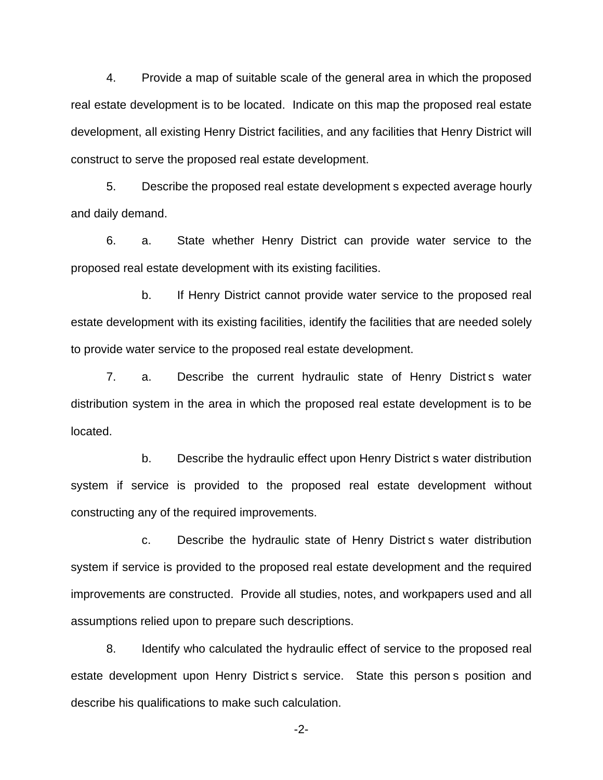4. Provide a map of suitable scale of the general area in which the proposed real estate development is to be located. Indicate on this map the proposed real estate development, all existing Henry District facilities, and any facilities that Henry District will construct to serve the proposed real estate development.

5. Describe the proposed real estate development s expected average hourly and daily demand.

6. a. State whether Henry District can provide water service to the proposed real estate development with its existing facilities.

b. If Henry District cannot provide water service to the proposed real estate development with its existing facilities, identify the facilities that are needed solely to provide water service to the proposed real estate development.

7. a. Describe the current hydraulic state of Henry District s water distribution system in the area in which the proposed real estate development is to be located.

b. Describe the hydraulic effect upon Henry District s water distribution system if service is provided to the proposed real estate development without constructing any of the required improvements.

c. Describe the hydraulic state of Henry District s water distribution system if service is provided to the proposed real estate development and the required improvements are constructed. Provide all studies, notes, and workpapers used and all assumptions relied upon to prepare such descriptions.

8. Identify who calculated the hydraulic effect of service to the proposed real estate development upon Henry District s service. State this person s position and describe his qualifications to make such calculation.

-2-